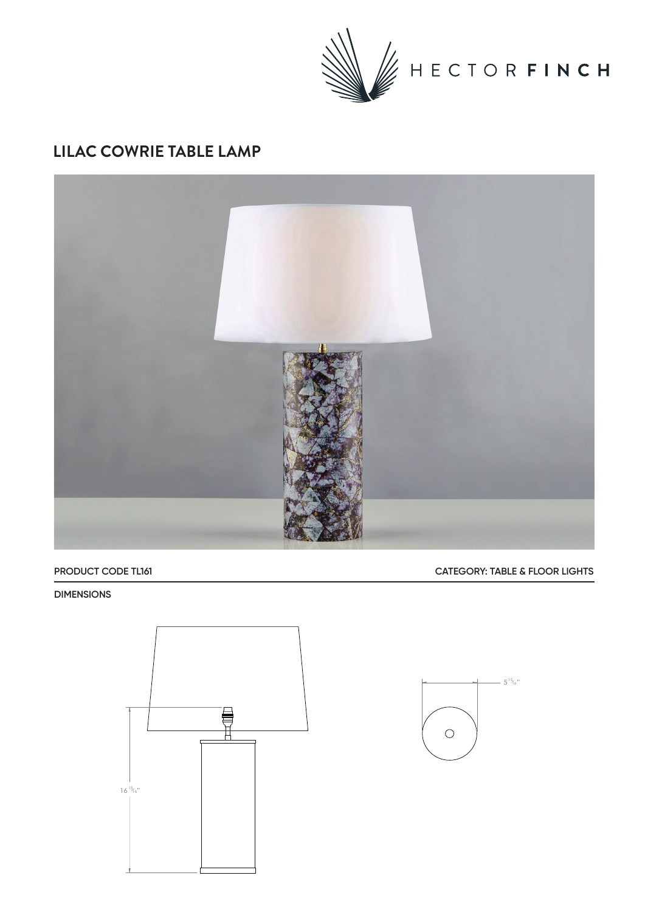

## **LILAC COWRIE TABLE LAMP**



### **PRODUCT CODE TL161 CATEGORY: TABLE & FLOOR LIGHTS**

#### **DIMENSIONS**